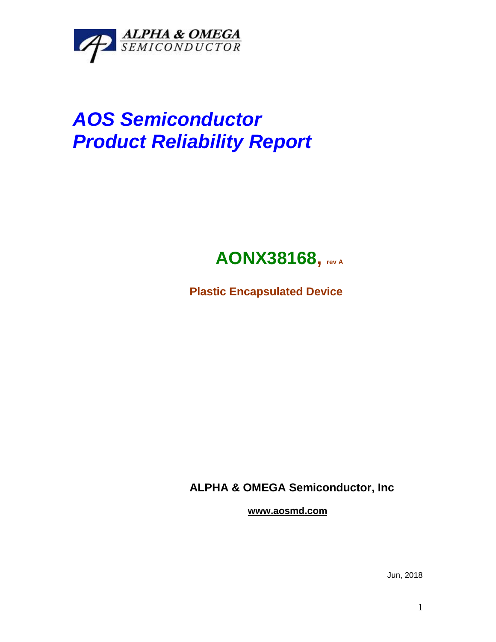

# *AOS Semiconductor Product Reliability Report*

## **AONX38168, rev <sup>A</sup>**

**Plastic Encapsulated Device**

**ALPHA & OMEGA Semiconductor, Inc**

**www.aosmd.com**

Jun, 2018